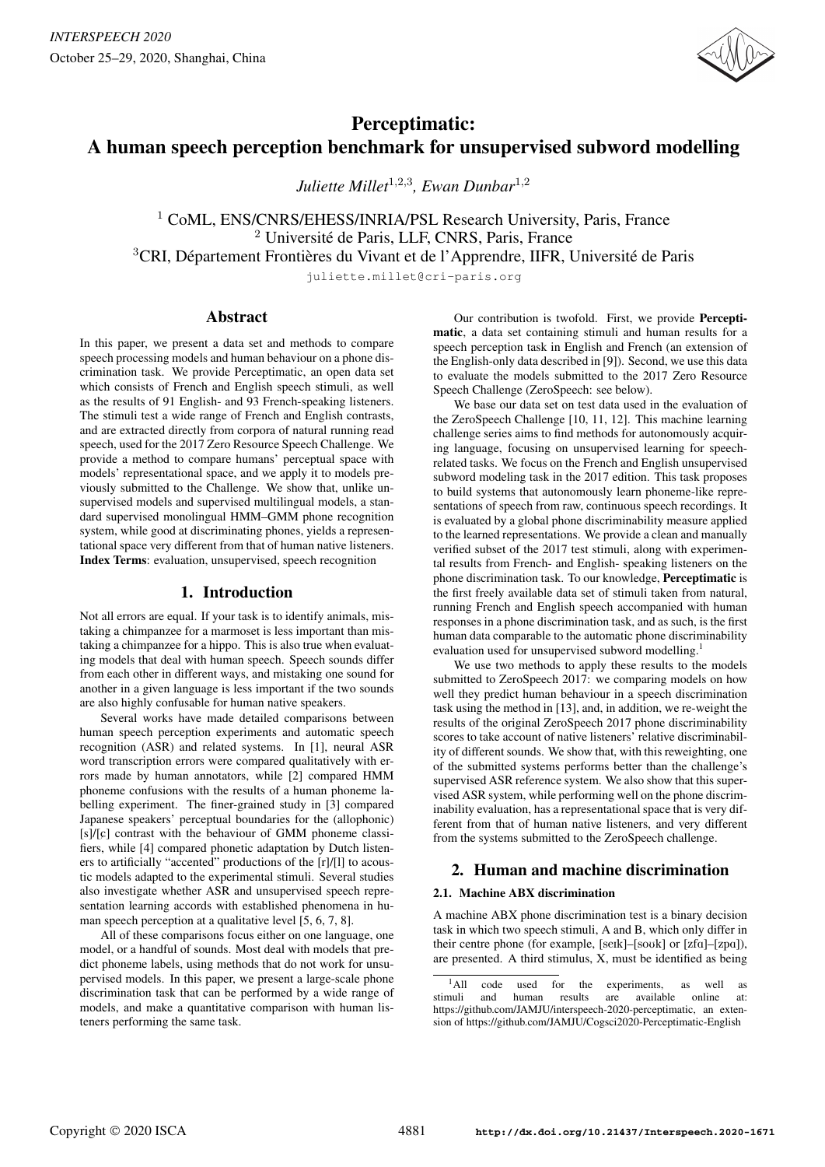

# Perceptimatic: A human speech perception benchmark for unsupervised subword modelling

*Juliette Millet*<sup>1</sup>,2,<sup>3</sup> *, Ewan Dunbar*<sup>1</sup>,<sup>2</sup>

<sup>1</sup> CoML, ENS/CNRS/EHESS/INRIA/PSL Research University, Paris, France <sup>2</sup> Université de Paris, LLF, CNRS, Paris, France <sup>3</sup>CRI, Département Frontières du Vivant et de l'Apprendre, IIFR, Université de Paris

juliette.millet@cri-paris.org

## Abstract

In this paper, we present a data set and methods to compare speech processing models and human behaviour on a phone discrimination task. We provide Perceptimatic, an open data set which consists of French and English speech stimuli, as well as the results of 91 English- and 93 French-speaking listeners. The stimuli test a wide range of French and English contrasts, and are extracted directly from corpora of natural running read speech, used for the 2017 Zero Resource Speech Challenge. We provide a method to compare humans' perceptual space with models' representational space, and we apply it to models previously submitted to the Challenge. We show that, unlike unsupervised models and supervised multilingual models, a standard supervised monolingual HMM–GMM phone recognition system, while good at discriminating phones, yields a representational space very different from that of human native listeners. Index Terms: evaluation, unsupervised, speech recognition

# 1. Introduction

Not all errors are equal. If your task is to identify animals, mistaking a chimpanzee for a marmoset is less important than mistaking a chimpanzee for a hippo. This is also true when evaluating models that deal with human speech. Speech sounds differ from each other in different ways, and mistaking one sound for another in a given language is less important if the two sounds are also highly confusable for human native speakers.

Several works have made detailed comparisons between human speech perception experiments and automatic speech recognition (ASR) and related systems. In [1], neural ASR word transcription errors were compared qualitatively with errors made by human annotators, while [2] compared HMM phoneme confusions with the results of a human phoneme labelling experiment. The finer-grained study in [3] compared Japanese speakers' perceptual boundaries for the (allophonic)  $[s]/[c]$  contrast with the behaviour of GMM phoneme classifiers, while [4] compared phonetic adaptation by Dutch listeners to artificially "accented" productions of the [r]/[l] to acoustic models adapted to the experimental stimuli. Several studies also investigate whether ASR and unsupervised speech representation learning accords with established phenomena in human speech perception at a qualitative level [5, 6, 7, 8].

All of these comparisons focus either on one language, one model, or a handful of sounds. Most deal with models that predict phoneme labels, using methods that do not work for unsupervised models. In this paper, we present a large-scale phone discrimination task that can be performed by a wide range of models, and make a quantitative comparison with human listeners performing the same task.

Our contribution is twofold. First, we provide Perceptimatic, a data set containing stimuli and human results for a speech perception task in English and French (an extension of the English-only data described in [9]). Second, we use this data to evaluate the models submitted to the 2017 Zero Resource Speech Challenge (ZeroSpeech: see below).

We base our data set on test data used in the evaluation of the ZeroSpeech Challenge [10, 11, 12]. This machine learning challenge series aims to find methods for autonomously acquiring language, focusing on unsupervised learning for speechrelated tasks. We focus on the French and English unsupervised subword modeling task in the 2017 edition. This task proposes to build systems that autonomously learn phoneme-like representations of speech from raw, continuous speech recordings. It is evaluated by a global phone discriminability measure applied to the learned representations. We provide a clean and manually verified subset of the 2017 test stimuli, along with experimental results from French- and English- speaking listeners on the phone discrimination task. To our knowledge, Perceptimatic is the first freely available data set of stimuli taken from natural, running French and English speech accompanied with human responses in a phone discrimination task, and as such, is the first human data comparable to the automatic phone discriminability evaluation used for unsupervised subword modelling.<sup>1</sup>

We use two methods to apply these results to the models submitted to ZeroSpeech 2017: we comparing models on how well they predict human behaviour in a speech discrimination task using the method in [13], and, in addition, we re-weight the results of the original ZeroSpeech 2017 phone discriminability scores to take account of native listeners' relative discriminability of different sounds. We show that, with this reweighting, one of the submitted systems performs better than the challenge's supervised ASR reference system. We also show that this supervised ASR system, while performing well on the phone discriminability evaluation, has a representational space that is very different from that of human native listeners, and very different from the systems submitted to the ZeroSpeech challenge.

# 2. Human and machine discrimination

#### 2.1. Machine ABX discrimination

A machine ABX phone discrimination test is a binary decision task in which two speech stimuli, A and B, which only differ in their centre phone (for example, [seɪk]–[soʊk] or [zfa]–[zpa]), are presented. A third stimulus, X, must be identified as being

<sup>1</sup>All code used for the experiments, as well as stimuli and human results are available online at: https://github.com/JAMJU/interspeech-2020-perceptimatic, an extension of https://github.com/JAMJU/Cogsci2020-Perceptimatic-English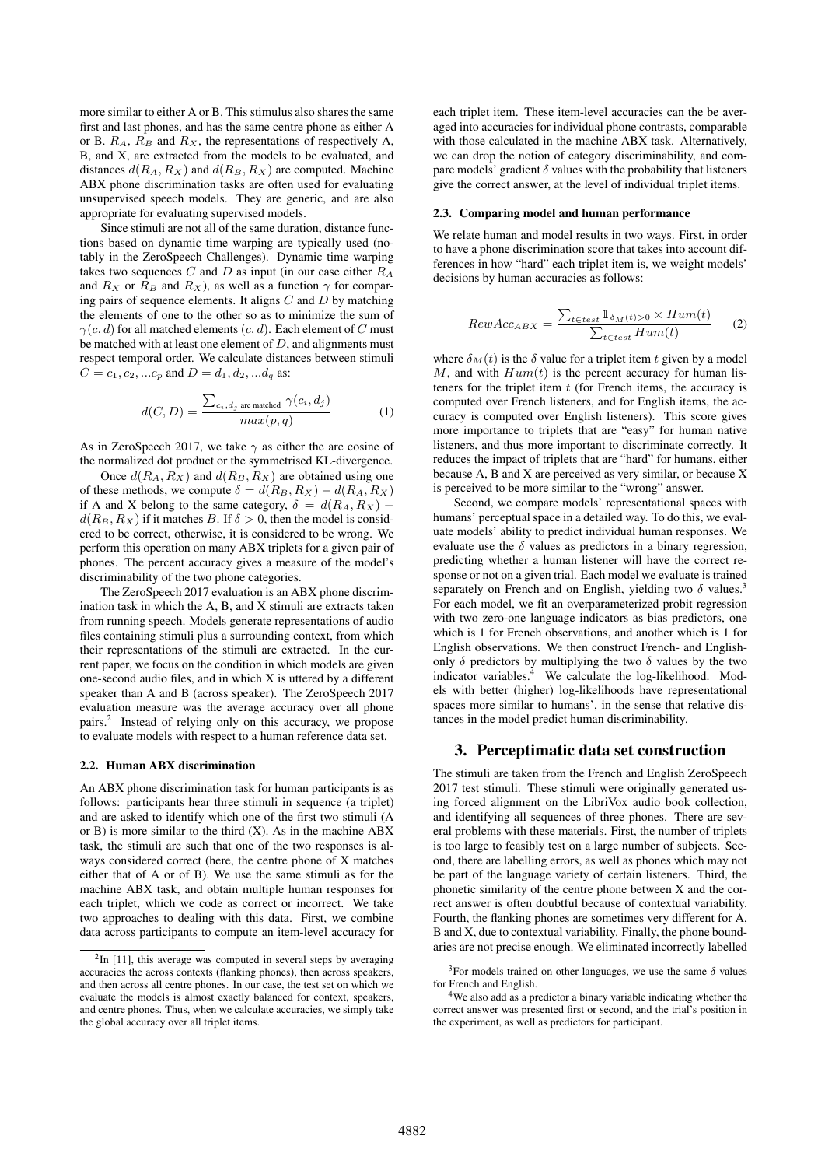more similar to either A or B. This stimulus also shares the same first and last phones, and has the same centre phone as either A or B.  $R_A$ ,  $R_B$  and  $R_X$ , the representations of respectively A, B, and X, are extracted from the models to be evaluated, and distances  $d(R_A, R_X)$  and  $d(R_B, R_X)$  are computed. Machine ABX phone discrimination tasks are often used for evaluating unsupervised speech models. They are generic, and are also appropriate for evaluating supervised models.

Since stimuli are not all of the same duration, distance functions based on dynamic time warping are typically used (notably in the ZeroSpeech Challenges). Dynamic time warping takes two sequences  $C$  and  $D$  as input (in our case either  $R_A$ and  $R_X$  or  $R_B$  and  $R_X$ ), as well as a function  $\gamma$  for comparing pairs of sequence elements. It aligns  $C$  and  $D$  by matching the elements of one to the other so as to minimize the sum of  $\gamma(c, d)$  for all matched elements  $(c, d)$ . Each element of C must be matched with at least one element of  $D$ , and alignments must respect temporal order. We calculate distances between stimuli  $C = c_1, c_2, ... c_n$  and  $D = d_1, d_2, ... d_n$  as:

$$
d(C, D) = \frac{\sum_{c_i, d_j \text{ are matched}} \gamma(c_i, d_j)}{max(p, q)}
$$
(1)

As in ZeroSpeech 2017, we take  $\gamma$  as either the arc cosine of the normalized dot product or the symmetrised KL-divergence.

Once  $d(R_A, R_X)$  and  $d(R_B, R_X)$  are obtained using one of these methods, we compute  $\delta = d(R_B, R_X) - d(R_A, R_X)$ if A and X belong to the same category,  $\delta = d(R_A, R_X)$  –  $d(R_B, R_X)$  if it matches B. If  $\delta > 0$ , then the model is considered to be correct, otherwise, it is considered to be wrong. We perform this operation on many ABX triplets for a given pair of phones. The percent accuracy gives a measure of the model's discriminability of the two phone categories.

The ZeroSpeech 2017 evaluation is an ABX phone discrimination task in which the A, B, and X stimuli are extracts taken from running speech. Models generate representations of audio files containing stimuli plus a surrounding context, from which their representations of the stimuli are extracted. In the current paper, we focus on the condition in which models are given one-second audio files, and in which X is uttered by a different speaker than A and B (across speaker). The ZeroSpeech 2017 evaluation measure was the average accuracy over all phone pairs.<sup>2</sup> Instead of relying only on this accuracy, we propose to evaluate models with respect to a human reference data set.

#### 2.2. Human ABX discrimination

An ABX phone discrimination task for human participants is as follows: participants hear three stimuli in sequence (a triplet) and are asked to identify which one of the first two stimuli (A or  $B$ ) is more similar to the third  $(X)$ . As in the machine ABX task, the stimuli are such that one of the two responses is always considered correct (here, the centre phone of X matches either that of A or of B). We use the same stimuli as for the machine ABX task, and obtain multiple human responses for each triplet, which we code as correct or incorrect. We take two approaches to dealing with this data. First, we combine data across participants to compute an item-level accuracy for each triplet item. These item-level accuracies can the be averaged into accuracies for individual phone contrasts, comparable with those calculated in the machine ABX task. Alternatively, we can drop the notion of category discriminability, and compare models' gradient  $\delta$  values with the probability that listeners give the correct answer, at the level of individual triplet items.

#### 2.3. Comparing model and human performance

We relate human and model results in two ways. First, in order to have a phone discrimination score that takes into account differences in how "hard" each triplet item is, we weight models' decisions by human accuracies as follows:

$$
RewAcc_{ABX} = \frac{\sum_{t \in test} 1_{\delta_M(t) > 0} \times Hum(t)}{\sum_{t \in test} Hum(t)} \tag{2}
$$

where  $\delta_M(t)$  is the  $\delta$  value for a triplet item t given by a model M, and with  $Hum(t)$  is the percent accuracy for human listeners for the triplet item  $t$  (for French items, the accuracy is computed over French listeners, and for English items, the accuracy is computed over English listeners). This score gives more importance to triplets that are "easy" for human native listeners, and thus more important to discriminate correctly. It reduces the impact of triplets that are "hard" for humans, either because A, B and X are perceived as very similar, or because X is perceived to be more similar to the "wrong" answer.

Second, we compare models' representational spaces with humans' perceptual space in a detailed way. To do this, we evaluate models' ability to predict individual human responses. We evaluate use the  $\delta$  values as predictors in a binary regression, predicting whether a human listener will have the correct response or not on a given trial. Each model we evaluate is trained separately on French and on English, yielding two  $\delta$  values.<sup>3</sup> For each model, we fit an overparameterized probit regression with two zero-one language indicators as bias predictors, one which is 1 for French observations, and another which is 1 for English observations. We then construct French- and Englishonly  $\delta$  predictors by multiplying the two  $\delta$  values by the two indicator variables. $4$  We calculate the log-likelihood. Models with better (higher) log-likelihoods have representational spaces more similar to humans', in the sense that relative distances in the model predict human discriminability.

#### 3. Perceptimatic data set construction

The stimuli are taken from the French and English ZeroSpeech 2017 test stimuli. These stimuli were originally generated using forced alignment on the LibriVox audio book collection, and identifying all sequences of three phones. There are several problems with these materials. First, the number of triplets is too large to feasibly test on a large number of subjects. Second, there are labelling errors, as well as phones which may not be part of the language variety of certain listeners. Third, the phonetic similarity of the centre phone between X and the correct answer is often doubtful because of contextual variability. Fourth, the flanking phones are sometimes very different for A, B and X, due to contextual variability. Finally, the phone boundaries are not precise enough. We eliminated incorrectly labelled

 $2$ In [11], this average was computed in several steps by averaging accuracies the across contexts (flanking phones), then across speakers, and then across all centre phones. In our case, the test set on which we evaluate the models is almost exactly balanced for context, speakers, and centre phones. Thus, when we calculate accuracies, we simply take the global accuracy over all triplet items.

<sup>&</sup>lt;sup>3</sup>For models trained on other languages, we use the same  $\delta$  values for French and English.

<sup>4</sup>We also add as a predictor a binary variable indicating whether the correct answer was presented first or second, and the trial's position in the experiment, as well as predictors for participant.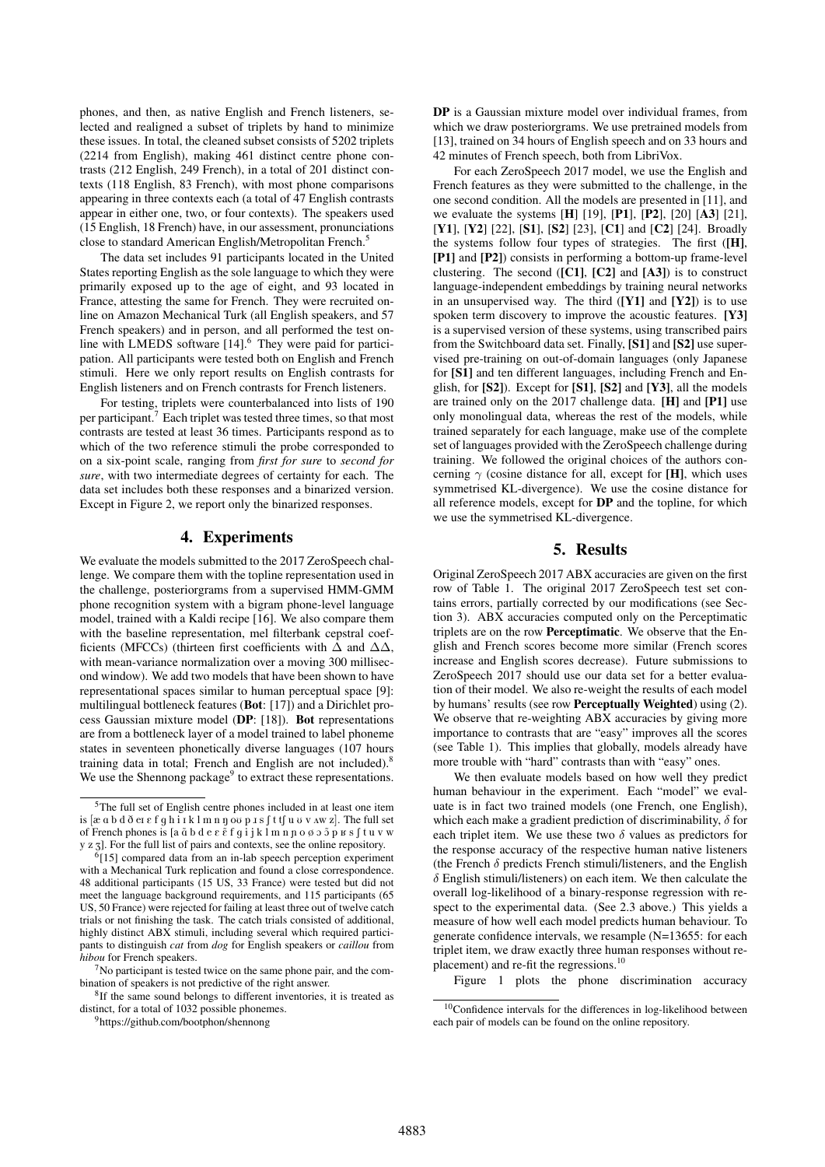phones, and then, as native English and French listeners, selected and realigned a subset of triplets by hand to minimize these issues. In total, the cleaned subset consists of 5202 triplets (2214 from English), making 461 distinct centre phone contrasts (212 English, 249 French), in a total of 201 distinct contexts (118 English, 83 French), with most phone comparisons appearing in three contexts each (a total of 47 English contrasts appear in either one, two, or four contexts). The speakers used (15 English, 18 French) have, in our assessment, pronunciations close to standard American English/Metropolitan French.<sup>5</sup>

The data set includes 91 participants located in the United States reporting English as the sole language to which they were primarily exposed up to the age of eight, and 93 located in France, attesting the same for French. They were recruited online on Amazon Mechanical Turk (all English speakers, and 57 French speakers) and in person, and all performed the test online with LMEDS software [14].<sup>6</sup> They were paid for participation. All participants were tested both on English and French stimuli. Here we only report results on English contrasts for English listeners and on French contrasts for French listeners.

For testing, triplets were counterbalanced into lists of 190 per participant.<sup>7</sup> Each triplet was tested three times, so that most contrasts are tested at least 36 times. Participants respond as to which of the two reference stimuli the probe corresponded to on a six-point scale, ranging from *first for sure* to *second for sure*, with two intermediate degrees of certainty for each. The data set includes both these responses and a binarized version. Except in Figure 2, we report only the binarized responses.

## 4. Experiments

We evaluate the models submitted to the 2017 ZeroSpeech challenge. We compare them with the topline representation used in the challenge, posteriorgrams from a supervised HMM-GMM phone recognition system with a bigram phone-level language model, trained with a Kaldi recipe [16]. We also compare them with the baseline representation, mel filterbank cepstral coefficients (MFCCs) (thirteen first coefficients with  $\Delta$  and  $\Delta\Delta$ , with mean-variance normalization over a moving 300 millisecond window). We add two models that have been shown to have representational spaces similar to human perceptual space [9]: multilingual bottleneck features (Bot: [17]) and a Dirichlet process Gaussian mixture model (DP: [18]). Bot representations are from a bottleneck layer of a model trained to label phoneme states in seventeen phonetically diverse languages (107 hours training data in total; French and English are not included).<sup>8</sup> We use the Shennong package<sup>9</sup> to extract these representations.

DP is a Gaussian mixture model over individual frames, from which we draw posteriorgrams. We use pretrained models from [13], trained on 34 hours of English speech and on 33 hours and 42 minutes of French speech, both from LibriVox.

For each ZeroSpeech 2017 model, we use the English and French features as they were submitted to the challenge, in the one second condition. All the models are presented in [11], and we evaluate the systems  $[H]$  [19],  $[P1]$ ,  $[P2]$ ,  $[20]$   $[A3]$   $[21]$ , [Y1], [Y2] [22], [S1], [S2] [23], [C1] and [C2] [24]. Broadly the systems follow four types of strategies. The first ([H], [P1] and [P2]) consists in performing a bottom-up frame-level clustering. The second  $([C1], [C2]$  and  $[A3])$  is to construct language-independent embeddings by training neural networks in an unsupervised way. The third  $([Y1]$  and  $[Y2])$  is to use spoken term discovery to improve the acoustic features. [Y3] is a supervised version of these systems, using transcribed pairs from the Switchboard data set. Finally, [S1] and [S2] use supervised pre-training on out-of-domain languages (only Japanese for [S1] and ten different languages, including French and English, for [S2]). Except for [S1], [S2] and [Y3], all the models are trained only on the 2017 challenge data. [H] and [P1] use only monolingual data, whereas the rest of the models, while trained separately for each language, make use of the complete set of languages provided with the ZeroSpeech challenge during training. We followed the original choices of the authors concerning  $\gamma$  (cosine distance for all, except for [H], which uses symmetrised KL-divergence). We use the cosine distance for all reference models, except for DP and the topline, for which we use the symmetrised KL-divergence.

#### 5. Results

Original ZeroSpeech 2017 ABX accuracies are given on the first row of Table 1. The original 2017 ZeroSpeech test set contains errors, partially corrected by our modifications (see Section 3). ABX accuracies computed only on the Perceptimatic triplets are on the row Perceptimatic. We observe that the English and French scores become more similar (French scores increase and English scores decrease). Future submissions to ZeroSpeech 2017 should use our data set for a better evaluation of their model. We also re-weight the results of each model by humans' results (see row Perceptually Weighted) using (2). We observe that re-weighting ABX accuracies by giving more importance to contrasts that are "easy" improves all the scores (see Table 1). This implies that globally, models already have more trouble with "hard" contrasts than with "easy" ones.

We then evaluate models based on how well they predict human behaviour in the experiment. Each "model" we evaluate is in fact two trained models (one French, one English), which each make a gradient prediction of discriminability,  $\delta$  for each triplet item. We use these two  $\delta$  values as predictors for the response accuracy of the respective human native listeners (the French  $\delta$  predicts French stimuli/listeners, and the English  $\delta$  English stimuli/listeners) on each item. We then calculate the overall log-likelihood of a binary-response regression with respect to the experimental data. (See 2.3 above.) This yields a measure of how well each model predicts human behaviour. To generate confidence intervals, we resample (N=13655: for each triplet item, we draw exactly three human responses without replacement) and re-fit the regressions.<sup>10</sup>

Figure 1 plots the phone discrimination accuracy

<sup>5</sup>The full set of English centre phones included in at least one item is  $[\alpha \alpha b d \delta \alpha \epsilon f q h i \iota k l m n \eta \omega p J s f t f u v v \wedge w z]$ . The full set of French phones is [a  $\tilde{a} b d e \tilde{e} f q i j k l m n p o \tilde{\phi}$  o  $\tilde{p}$   $\tilde{p}$   $\tilde{g}$  f tu v w y z z]. For the full list of pairs and contexts, see the online repository.

<sup>6</sup> [15] compared data from an in-lab speech perception experiment with a Mechanical Turk replication and found a close correspondence. 48 additional participants (15 US, 33 France) were tested but did not meet the language background requirements, and 115 participants (65 US, 50 France) were rejected for failing at least three out of twelve catch trials or not finishing the task. The catch trials consisted of additional, highly distinct ABX stimuli, including several which required participants to distinguish *cat* from *dog* for English speakers or *caillou* from *hibou* for French speakers.

 $7$ No participant is tested twice on the same phone pair, and the combination of speakers is not predictive of the right answer.

<sup>&</sup>lt;sup>8</sup>If the same sound belongs to different inventories, it is treated as distinct, for a total of 1032 possible phonemes.

<sup>9</sup>https://github.com/bootphon/shennong

<sup>&</sup>lt;sup>10</sup>Confidence intervals for the differences in log-likelihood between each pair of models can be found on the online repository.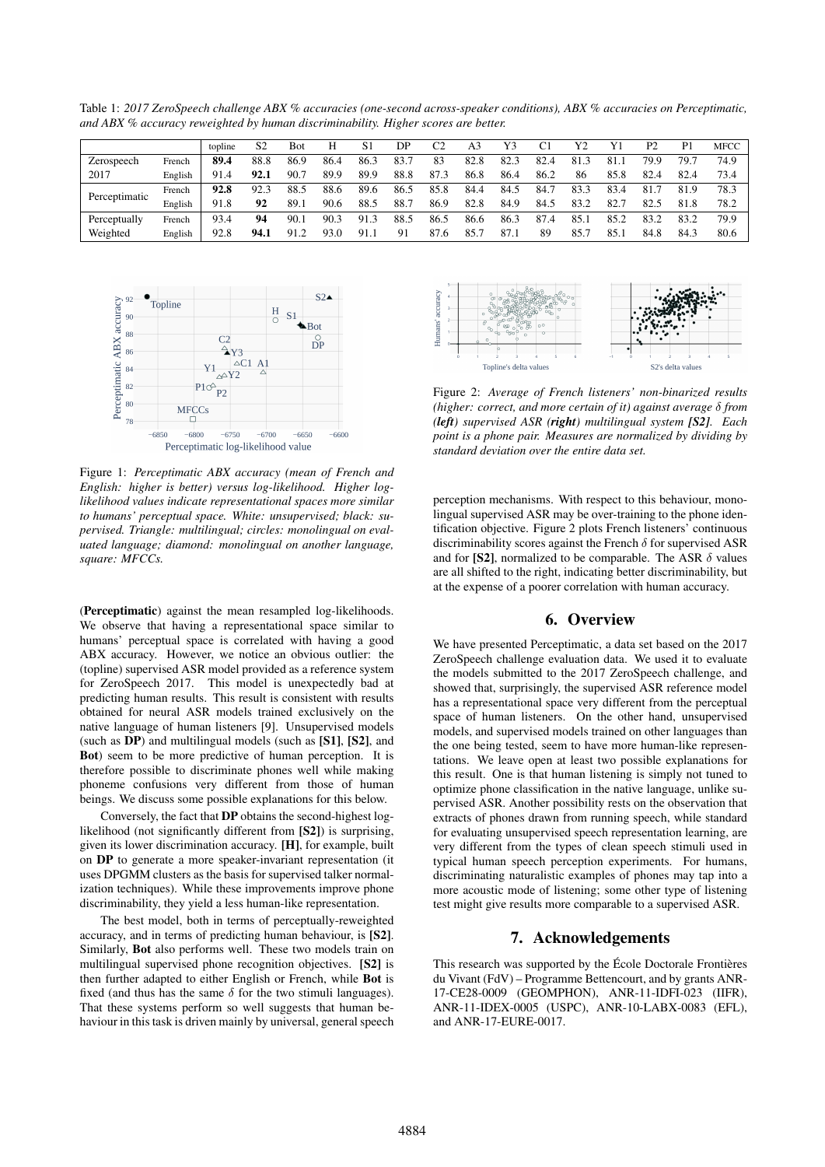Table 1: *2017 ZeroSpeech challenge ABX % accuracies (one-second across-speaker conditions), ABX % accuracies on Perceptimatic, and ABX % accuracy reweighted by human discriminability. Higher scores are better.*

|               |         | topline | S2   | Bot  | Н    | S1   | DP   | C2   | A3   | Y3   | C1   | Y2   | Y1   | P2   | P <sub>1</sub> | MFCC |
|---------------|---------|---------|------|------|------|------|------|------|------|------|------|------|------|------|----------------|------|
| Zerospeech    | French  | 89.4    | 88.8 | 86.9 | 86.4 | 86.3 | 83.7 | 83   | 82.8 | 82.3 | 82.4 | 81.3 | 81.1 | 79.9 | 79.7           | 74.9 |
| 2017          | English | 91.4    | 92.1 | 90.7 | 89.9 | 89.9 | 88.8 | 87.3 | 86.8 | 86.4 | 86.2 | 86   | 85.8 | 82.4 | 82.4           | 73.4 |
| Perceptimatic | French  | 92.8    | 92.3 | 88.5 | 88.6 | 89.6 | 86.5 | 85.8 | 84.4 | 84.5 | 84.7 | 83.3 | 83.4 | 81.  | 81.9           | 78.3 |
|               | English | 91.8    | 92   | 89.i | 90.6 | 88.5 | 88.7 | 86.9 | 82.8 | 84.9 | 84.5 | 83.2 | 82.7 | 82.5 | 81.8           | 78.2 |
| Perceptually  | French  | 93.4    | 94   | 90.1 | 90.3 | 91.3 | 88.5 | 86.5 | 86.6 | 86.3 | 87.4 | 85.1 | 85.2 | 83.2 | 83.2           | 79.9 |
| Weighted      | English | 92.8    | 94.1 | 912  | 93.0 | 91.1 | 91   | 87.6 | 85.7 | 87.1 | 89   | 85.7 | 85.  | 84.8 | 84.3           | 80.6 |



Figure 1: *Perceptimatic ABX accuracy (mean of French and English: higher is better) versus log-likelihood. Higher loglikelihood values indicate representational spaces more similar to humans' perceptual space. White: unsupervised; black: supervised. Triangle: multilingual; circles: monolingual on evaluated language; diamond: monolingual on another language, square: MFCCs.*

(Perceptimatic) against the mean resampled log-likelihoods. We observe that having a representational space similar to humans' perceptual space is correlated with having a good ABX accuracy. However, we notice an obvious outlier: the (topline) supervised ASR model provided as a reference system for ZeroSpeech 2017. This model is unexpectedly bad at predicting human results. This result is consistent with results obtained for neural ASR models trained exclusively on the native language of human listeners [9]. Unsupervised models (such as DP) and multilingual models (such as [S1], [S2], and Bot) seem to be more predictive of human perception. It is therefore possible to discriminate phones well while making phoneme confusions very different from those of human beings. We discuss some possible explanations for this below.

Conversely, the fact that DP obtains the second-highest loglikelihood (not significantly different from [S2]) is surprising, given its lower discrimination accuracy. [H], for example, built on DP to generate a more speaker-invariant representation (it uses DPGMM clusters as the basis for supervised talker normalization techniques). While these improvements improve phone discriminability, they yield a less human-like representation.

The best model, both in terms of perceptually-reweighted accuracy, and in terms of predicting human behaviour, is [S2]. Similarly, Bot also performs well. These two models train on multilingual supervised phone recognition objectives. [S2] is then further adapted to either English or French, while Bot is fixed (and thus has the same  $\delta$  for the two stimuli languages). That these systems perform so well suggests that human behaviour in this task is driven mainly by universal, general speech



Figure 2: *Average of French listeners' non-binarized results (higher: correct, and more certain of it) against average* δ *from (left) supervised ASR (right) multilingual system [S2]. Each point is a phone pair. Measures are normalized by dividing by standard deviation over the entire data set.*

perception mechanisms. With respect to this behaviour, monolingual supervised ASR may be over-training to the phone identification objective. Figure 2 plots French listeners' continuous discriminability scores against the French  $\delta$  for supervised ASR and for [S2], normalized to be comparable. The ASR  $\delta$  values are all shifted to the right, indicating better discriminability, but at the expense of a poorer correlation with human accuracy.

#### 6. Overview

We have presented Perceptimatic, a data set based on the 2017 ZeroSpeech challenge evaluation data. We used it to evaluate the models submitted to the 2017 ZeroSpeech challenge, and showed that, surprisingly, the supervised ASR reference model has a representational space very different from the perceptual space of human listeners. On the other hand, unsupervised models, and supervised models trained on other languages than the one being tested, seem to have more human-like representations. We leave open at least two possible explanations for this result. One is that human listening is simply not tuned to optimize phone classification in the native language, unlike supervised ASR. Another possibility rests on the observation that extracts of phones drawn from running speech, while standard for evaluating unsupervised speech representation learning, are very different from the types of clean speech stimuli used in typical human speech perception experiments. For humans, discriminating naturalistic examples of phones may tap into a more acoustic mode of listening; some other type of listening test might give results more comparable to a supervised ASR.

## 7. Acknowledgements

This research was supported by the École Doctorale Frontières du Vivant (FdV) – Programme Bettencourt, and by grants ANR-17-CE28-0009 (GEOMPHON), ANR-11-IDFI-023 (IIFR), ANR-11-IDEX-0005 (USPC), ANR-10-LABX-0083 (EFL), and ANR-17-EURE-0017.